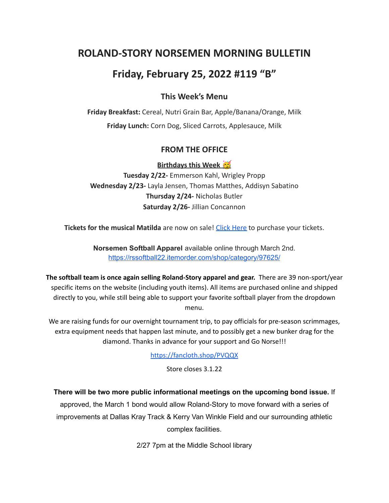## **ROLAND-STORY NORSEMEN MORNING BULLETIN**

# **Friday, February 25, 2022 #119 "B"**

## **This Week's Menu**

**Friday Breakfast:** Cereal, Nutri Grain Bar, Apple/Banana/Orange, Milk **Friday Lunch:** Corn Dog, Sliced Carrots, Applesauce, Milk

## **FROM THE OFFICE**

**Birthdays this Week** 

**Tuesday 2/22-** Emmerson Kahl, Wrigley Propp **Wednesday 2/23-** Layla Jensen, Thomas Matthes, Addisyn Sabatino **Thursday 2/24-** Nicholas Butler **Saturday 2/26-** Jillian Concannon

**Tickets for the musical Matilda** are now on sale! Click [Here](https://events.ticketspicket.com/agency/a61f75f7-997a-4241-b0ab-0eae5600323f) to purchase your tickets.

**Norsemen Softball Apparel** available online through March 2nd. <https://rssoftball22.itemorder.com/shop/category/97625/>

**The softball team is once again selling Roland-Story apparel and gear.** There are 39 non-sport/year specific items on the website (including youth items). All items are purchased online and shipped directly to you, while still being able to support your favorite softball player from the dropdown menu.

We are raising funds for our overnight tournament trip, to pay officials for pre-season scrimmages, extra equipment needs that happen last minute, and to possibly get a new bunker drag for the diamond. Thanks in advance for your support and Go Norse!!!

<https://fancloth.shop/PVQQX>

Store closes 3.1.22

**There will be two more public informational meetings on the upcoming bond issue.** If

approved, the March 1 bond would allow Roland-Story to move forward with a series of improvements at Dallas Kray Track & Kerry Van Winkle Field and our surrounding athletic complex facilities.

2/27 7pm at the Middle School library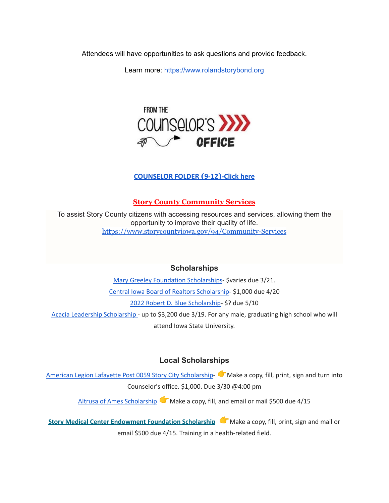Attendees will have opportunities to ask questions and provide feedback.

Learn more: [https://www.rolandstorybond.org](https://www.rolandstorybond.org/?fbclid=IwAR3AJHhy8S8KvQsof-Z44UTrIBXDkOZFSdMyUXMovrg0bH3FkvkTprNkFuM)



#### **[COUNSELOR FOLDER](https://docs.google.com/document/d/1vmwczNPbDzXe9vFaG5LJMQ7NYDv-i4oQJHybqA65TUc/edit?usp=sharing) (9-12)-Click here**

#### **Story County Community Services**

To assist Story County citizens with accessing resources and services, allowing them the opportunity to improve their quality of life. <https://www.storycountyiowa.gov/94/Community-Services>

#### **Scholarships**

Mary Greeley Foundation [Scholarships](https://docs.google.com/document/d/1cV2X1WgjAMIxvlQvS3xLxsQJRooZHcf7/edit?usp=sharing&ouid=117077516262516080506&rtpof=true&sd=true)- \$varies due 3/21. Central Iowa Board of Realtors [Scholarship-](https://docs.google.com/document/d/118FuzzOexkI7TbBkChW_nQX4xH_6ldWOWNBAYiJ0nF4/edit?usp=sharing) \$1,000 due 4/20 2022 Robert D. Blue [Scholarship-](https://www.rdblue.org/) \$? due 5/10 Acacia Leadership [Scholarship](https://acacia-iowastate.org/?page_id=137) - up to \$3,200 due 3/19. For any male, graduating high school who will attend Iowa State University.

#### **Local Scholarships**

American Legion Lafayette Post 0059 Story City [Scholarship-](https://docs.google.com/document/d/1l-XzWNNfwZmA3zDkeW8VPeqqzYTnZ3IFLE4h0i05GGI/edit?usp=sharing) Make a copy, fill, print, sign and turn into Counselor's office. \$1,000. Due 3/30 @4:00 pm

Altrusa of Ames [Scholarship](https://docs.google.com/document/d/1pwO_l6ZBSDlI2aYi464Wp_1Ha8nwdfwR/edit?usp=sharing&ouid=117077516262516080506&rtpof=true&sd=true) Make a copy, fill, and email or mail \$500 due 4/15

**Story Medical Center [Endowment](https://docs.google.com/document/d/1Du1jCNX0k-JKFersfNT9iyajiGNIty-yZCbxSNxXkO0/edit?usp=sharing) Foundation Scholarship** Make a copy, fill, print, sign and mail or email \$500 due 4/15. Training in a health-related field.